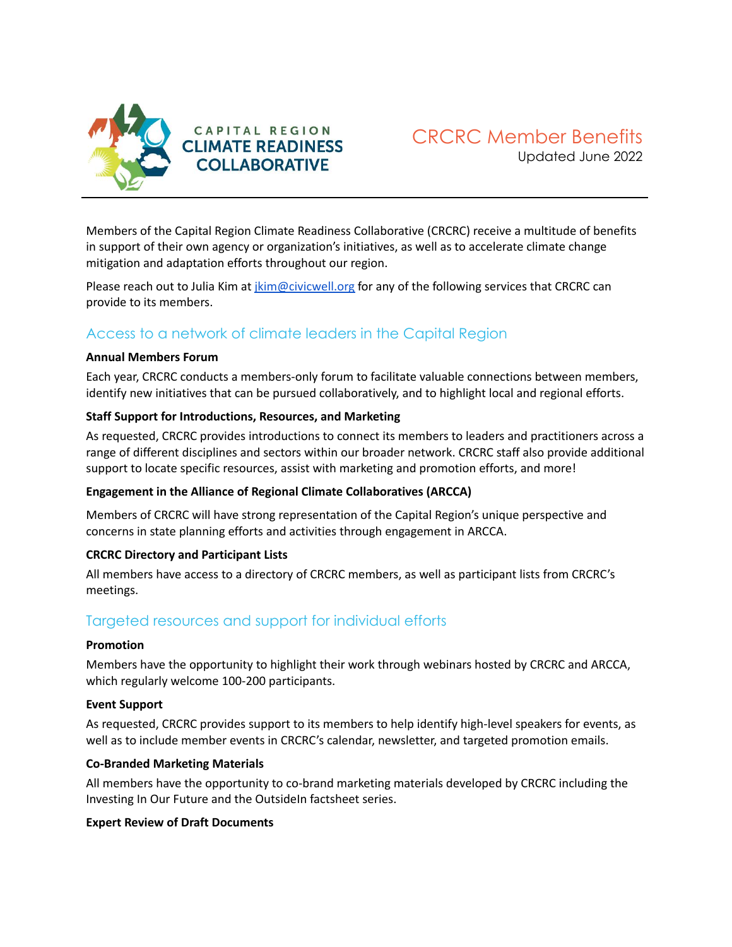

Members of the Capital Region Climate Readiness Collaborative (CRCRC) receive a multitude of benefits in support of their own agency or organization's initiatives, as well as to accelerate climate change mitigation and adaptation efforts throughout our region.

Please reach out to Julia Kim at [jkim@civicwell.org](mailto:jkim@civicwell.org) for any of the following services that CRCRC can provide to its members.

# Access to a network of climate leaders in the Capital Region

### **Annual Members Forum**

Each year, CRCRC conducts a members-only forum to facilitate valuable connections between members, identify new initiatives that can be pursued collaboratively, and to highlight local and regional efforts.

### **Staff Support for Introductions, Resources, and Marketing**

As requested, CRCRC provides introductions to connect its members to leaders and practitioners across a range of different disciplines and sectors within our broader network. CRCRC staff also provide additional support to locate specific resources, assist with marketing and promotion efforts, and more!

### **Engagement in the Alliance of Regional Climate Collaboratives (ARCCA)**

Members of CRCRC will have strong representation of the Capital Region's unique perspective and concerns in state planning efforts and activities through engagement in ARCCA.

### **CRCRC Directory and Participant Lists**

All members have access to a directory of CRCRC members, as well as participant lists from CRCRC's meetings.

## Targeted resources and support for individual efforts

### **Promotion**

Members have the opportunity to highlight their work through webinars hosted by CRCRC and ARCCA, which regularly welcome 100-200 participants.

#### **Event Support**

As requested, CRCRC provides support to its members to help identify high-level speakers for events, as well as to include member events in CRCRC's calendar, newsletter, and targeted promotion emails.

### **Co-Branded Marketing Materials**

All members have the opportunity to co-brand marketing materials developed by CRCRC including the Investing In Our Future and the OutsideIn factsheet series.

### **Expert Review of Draft Documents**